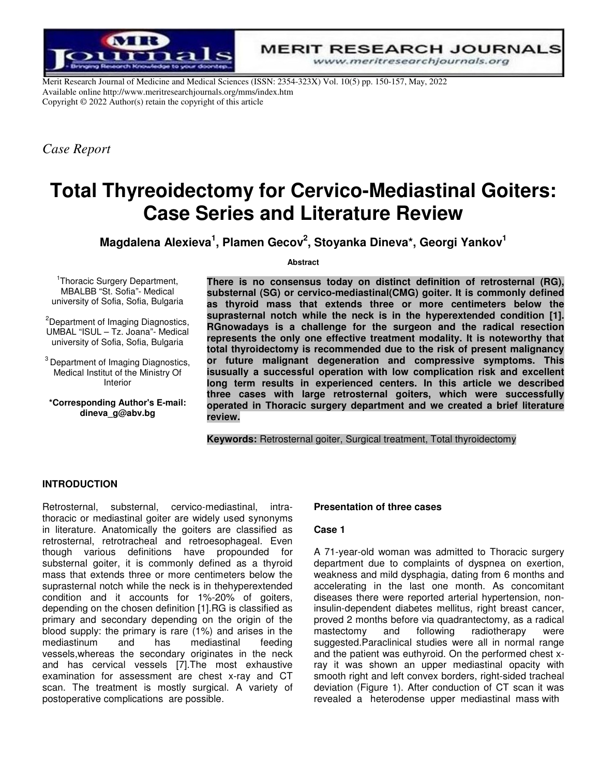

Merit Research Journal of Medicine and Medical Sciences (ISSN: 2354-323X) Vol. 10(5) pp. 150-157, May, 2022 Available online http://www.meritresearchjournals.org/mms/index.htm Copyright © 2022 Author(s) retain the copyright of this article

*Case Report* 

# **Total Thyreoidectomy for Cervico-Mediastinal Goiters: Case Series and Literature Review**

**Magdalena Alexieva<sup>1</sup> , Plamen Gecov<sup>2</sup> , Stoyanka Dineva\*, Georgi Yankov<sup>1</sup>**

**Abstract** 

<sup>1</sup>Thoracic Surgery Department, MBALBB "St. Sofia"- Medical university of Sofia, Sofia, Bulgaria

<sup>2</sup>Department of Imaging Diagnostics, UMBAL "ISUL – Tz. Joana"- Medical university of Sofia, Sofia, Bulgaria

<sup>3</sup> Department of Imaging Diagnostics, Medical Institut of the Ministry Of Interior

**\*Corresponding Author's E-mail: dineva\_g@abv.bg** 

**There is no consensus today on distinct definition of retrosternal (RG), substernal (SG) or cervico-mediastinal(CMG) goiter. It is commonly defined as thyroid mass that extends three or more centimeters below the suprasternal notch while the neck is in the hyperextended condition [1]. RGnowadays is a challenge for the surgeon and the radical resection represents the only one effective treatment modality. It is noteworthy that total thyroidectomy is recommended due to the risk of present malignancy or future malignant degeneration and compressive symptoms. This isusually a successful operation with low complication risk and excellent long term results in experienced centers. In this article we described three cases with large retrosternal goiters, which were successfully operated in Thoracic surgery department and we created a brief literature review.** 

**Keywords:** Retrosternal goiter, Surgical treatment, Total thyroidectomy

## **INTRODUCTION**

Retrosternal, substernal, cervico-mediastinal, intrathoracic or mediastinal goiter are widely used synonyms in literature. Anatomically the goiters are classified as retrosternal, retrotracheal and retroesophageal. Even though various definitions have propounded for substernal goiter, it is commonly defined as a thyroid mass that extends three or more centimeters below the suprasternal notch while the neck is in thehyperextended condition and it accounts for 1%-20% of goiters, depending on the chosen definition [1].RG is classified as primary and secondary depending on the origin of the blood supply: the primary is rare (1%) and arises in the mediastinum and has mediastinal vessels,whereas the secondary originates in the neck and has cervical vessels [7].The most exhaustive examination for assessment are chest x-ray and CT scan. The treatment is mostly surgical. A variety of postoperative complications are possible.

#### **Presentation of three cases**

#### **Case 1**

A 71-year-old woman was admitted to Thoracic surgery department due to complaints of dyspnea on exertion, weakness and mild dysphagia, dating from 6 months and accelerating in the last one month. As concomitant diseases there were reported arterial hypertension, noninsulin-dependent diabetes mellitus, right breast cancer, proved 2 months before via quadrantectomy, as a radical mastectomy and following radiotherapy were suggested.Paraclinical studies were all in normal range and the patient was euthyroid. On the performed chest xray it was shown an upper mediastinal opacity with smooth right and left convex borders, right-sided tracheal deviation (Figure 1). After conduction of CT scan it was revealed a heterodense upper mediastinal mass with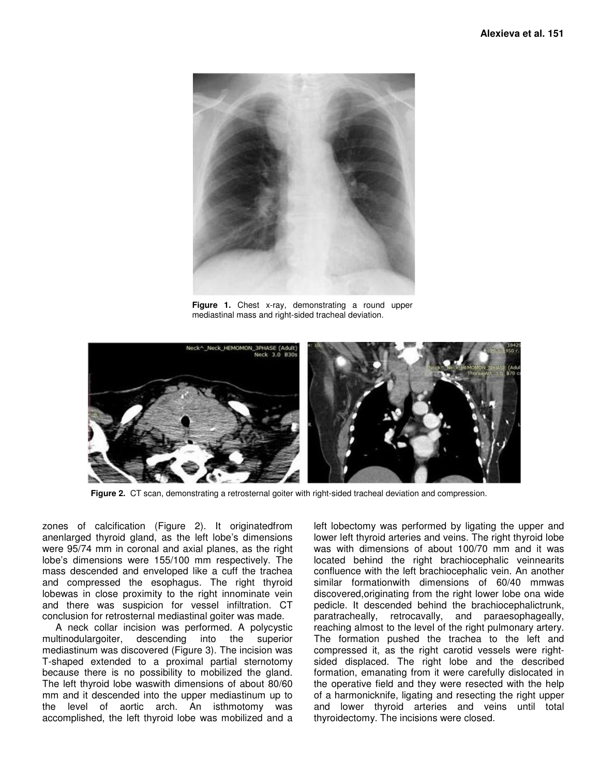

**Figure 1.** Chest x-ray, demonstrating a round upper mediastinal mass and right-sided tracheal deviation.



**Figure 2.** CT scan, demonstrating a retrosternal goiter with right-sided tracheal deviation and compression.

zones of calcification (Figure 2). It originatedfrom anenlarged thyroid gland, as the left lobe's dimensions were 95/74 mm in coronal and axial planes, as the right lobe's dimensions were 155/100 mm respectively. The mass descended and enveloped like a cuff the trachea and compressed the esophagus. The right thyroid lobewas in close proximity to the right innominate vein and there was suspicion for vessel infiltration. CT conclusion for retrosternal mediastinal goiter was made.

A neck collar incision was performed. A polycystic multinodulargoiter, descending into the superior mediastinum was discovered (Figure 3). The incision was T-shaped extended to a proximal partial sternotomy because there is no possibility to mobilized the gland. The left thyroid lobe waswith dimensions of about 80/60 mm and it descended into the upper mediastinum up to the level of aortic arch. An isthmotomy was accomplished, the left thyroid lobe was mobilized and a

left lobectomy was performed by ligating the upper and lower left thyroid arteries and veins. The right thyroid lobe was with dimensions of about 100/70 mm and it was located behind the right brachiocephalic veinnearits confluence with the left brachiocephalic vein. An another similar formationwith dimensions of 60/40 mmwas discovered,originating from the right lower lobe ona wide pedicle. It descended behind the brachiocephalictrunk, paratracheally, retrocavally, and paraesophageally, reaching almost to the level of the right pulmonary artery. The formation pushed the trachea to the left and compressed it, as the right carotid vessels were rightsided displaced. The right lobe and the described formation, emanating from it were carefully dislocated in the operative field and they were resected with the help of a harmonicknife, ligating and resecting the right upper and lower thyroid arteries and veins until total thyroidectomy. The incisions were closed.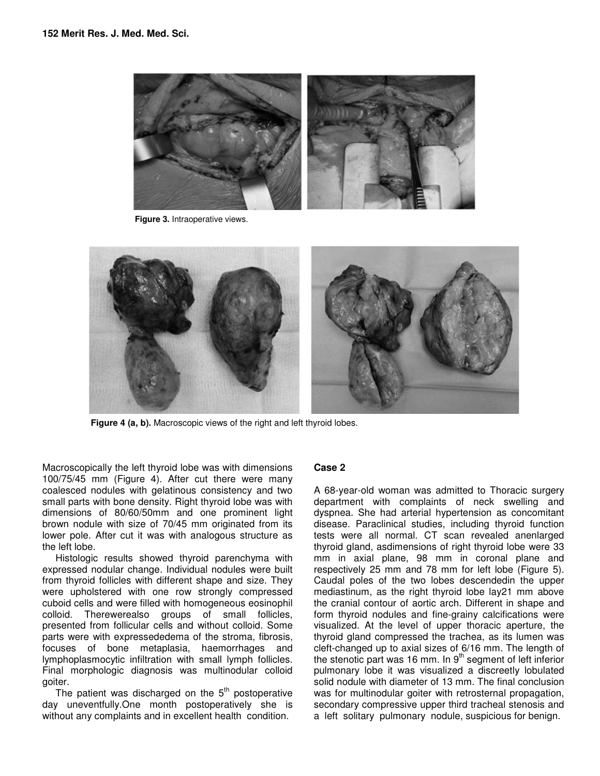

**Figure 3.** Intraoperative views.



**Figure 4 (a, b).** Macroscopic views of the right and left thyroid lobes.

Macroscopically the left thyroid lobe was with dimensions 100/75/45 mm (Figure 4). After cut there were many coalesced nodules with gelatinous consistency and two small parts with bone density. Right thyroid lobe was with dimensions of 80/60/50mm and one prominent light brown nodule with size of 70/45 mm originated from its lower pole. After cut it was with analogous structure as the left lobe.

Histologic results showed thyroid parenchyma with expressed nodular change. Individual nodules were built from thyroid follicles with different shape and size. They were upholstered with one row strongly compressed cuboid cells and were filled with homogeneous eosinophil colloid. Therewerealso groups of small follicles, presented from follicular cells and without colloid. Some parts were with expressededema of the stroma, fibrosis, focuses of bone metaplasia, haemorrhages and lymphoplasmocytic infiltration with small lymph follicles. Final morphologic diagnosis was multinodular colloid goiter.

The patient was discharged on the  $5<sup>th</sup>$  postoperative day uneventfully.One month postoperatively she is without any complaints and in excellent health condition.

## **Case 2**

A 68-year-old woman was admitted to Thoracic surgery department with complaints of neck swelling and dyspnea. She had arterial hypertension as concomitant disease. Paraclinical studies, including thyroid function tests were all normal. CT scan revealed anenlarged thyroid gland, asdimensions of right thyroid lobe were 33 mm in axial plane, 98 mm in coronal plane and respectively 25 mm and 78 mm for left lobe (Figure 5). Caudal poles of the two lobes descendedin the upper mediastinum, as the right thyroid lobe lay21 mm above the cranial contour of aortic arch. Different in shape and form thyroid nodules and fine-grainy calcifications were visualized. At the level of upper thoracic aperture, the thyroid gland compressed the trachea, as its lumen was cleft-changed up to axial sizes of 6/16 mm. The length of the stenotic part was 16 mm. In  $9<sup>th</sup>$  segment of left inferior pulmonary lobe it was visualized a discreetly lobulated solid nodule with diameter of 13 mm. The final conclusion was for multinodular goiter with retrosternal propagation, secondary compressive upper third tracheal stenosis and a left solitary pulmonary nodule, suspicious for benign.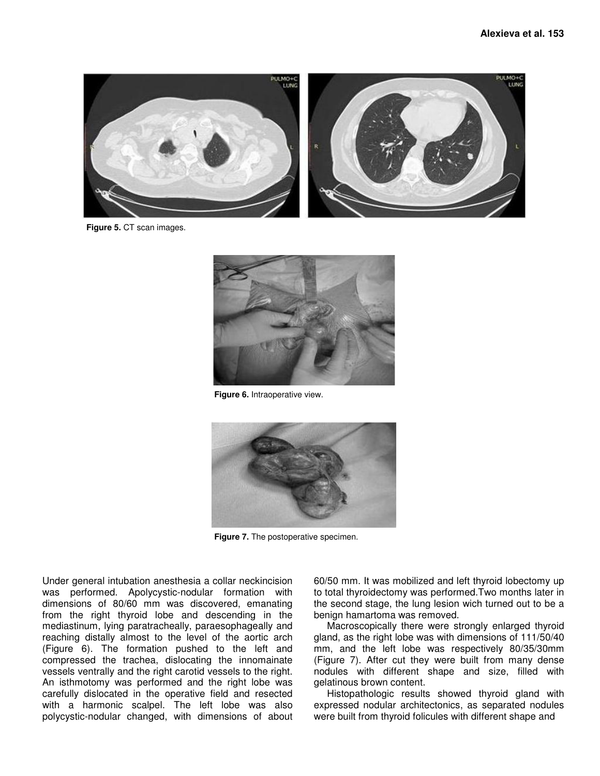

**Figure 5.** CT scan images.



**Figure 6.** Intraoperative view.



**Figure 7.** The postoperative specimen.

Under general intubation anesthesia a collar neckincision was performed. Apolycystic-nodular formation with dimensions of 80/60 mm was discovered, emanating from the right thyroid lobe and descending in the mediastinum, lying paratracheally, paraesophageally and reaching distally almost to the level of the aortic arch (Figure 6). The formation pushed to the left and compressed the trachea, dislocating the innomainate vessels ventrally and the right carotid vessels to the right. An isthmotomy was performed and the right lobe was carefully dislocated in the operative field and resected with a harmonic scalpel. The left lobe was also polycystic-nodular changed, with dimensions of about 60/50 mm. It was mobilized and left thyroid lobectomy up to total thyroidectomy was performed.Two months later in the second stage, the lung lesion wich turned out to be a benign hamartoma was removed.

Macroscopically there were strongly enlarged thyroid gland, as the right lobe was with dimensions of 111/50/40 mm, and the left lobe was respectively 80/35/30mm (Figure 7). After cut they were built from many dense nodules with different shape and size, filled with gelatinous brown content.

Histopathologic results showed thyroid gland with expressed nodular architectonics, as separated nodules were built from thyroid folicules with different shape and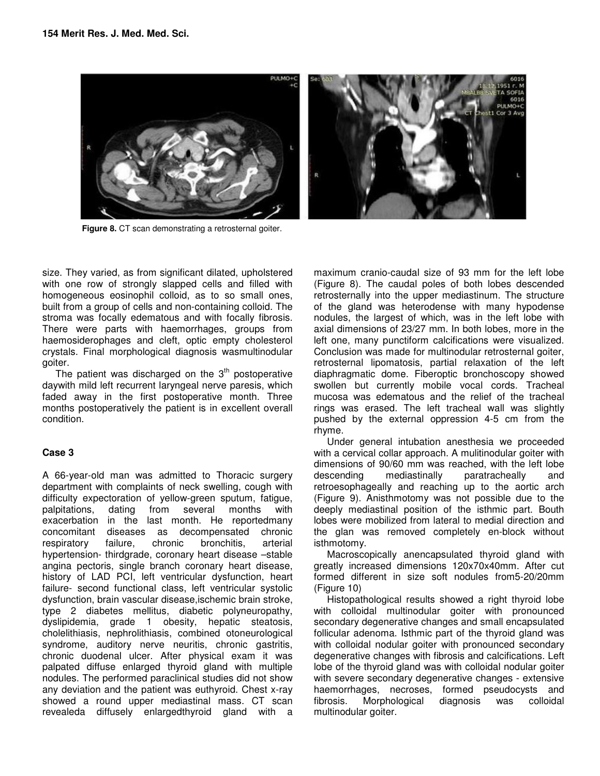

Figure 8. CT scan demonstrating a retrosternal goiter.

size. They varied, as from significant dilated, upholstered with one row of strongly slapped cells and filled with homogeneous eosinophil colloid, as to so small ones, built from a group of cells and non-containing colloid. The stroma was focally edematous and with focally fibrosis. There were parts with haemorrhages, groups from haemosiderophages and cleft, optic empty cholesterol crystals. Final morphological diagnosis wasmultinodular goiter.

The patient was discharged on the  $3<sup>th</sup>$  postoperative daywith mild left recurrent laryngeal nerve paresis, which faded away in the first postoperative month. Three months postoperatively the patient is in excellent overall condition.

## **Case 3**

A 66-year-old man was admitted to Thoracic surgery department with complaints of neck swelling, cough with difficulty expectoration of yellow-green sputum, fatigue, palpitations, dating from several months with exacerbation in the last month. He reportedmany concomitant diseases as decompensated chronic respiratory failure, chronic bronchitis, arterial hypertension- thirdgrade, coronary heart disease –stable angina pectoris, single branch coronary heart disease, history of LAD PCI, left ventricular dysfunction, heart failure- second functional class, left ventricular systolic dysfunction, brain vascular disease,ischemic brain stroke, type 2 diabetes mellitus, diabetic polyneuropathy, dyslipidemia, grade 1 obesity, hepatic steatosis, cholelithiasis, nephrolithiasis, combined otoneurological syndrome, auditory nerve neuritis, chronic gastritis, chronic duodenal ulcer. After physical exam it was palpated diffuse enlarged thyroid gland with multiple nodules. The performed paraclinical studies did not show any deviation and the patient was euthyroid. Chest x-ray showed a round upper mediastinal mass. CT scan revealeda diffusely enlargedthyroid gland with a

maximum cranio-caudal size of 93 mm for the left lobe (Figure 8). The caudal poles of both lobes descended retrosternally into the upper mediastinum. The structure of the gland was heterodense with many hypodense nodules, the largest of which, was in the left lobe with axial dimensions of 23/27 mm. In both lobes, more in the left one, many punctiform calcifications were visualized. Conclusion was made for multinodular retrosternal goiter, retrosternal lipomatosis, partial relaxation of the left diaphragmatic dome. Fiberoptic bronchoscopy showed swollen but currently mobile vocal cords. Tracheal mucosa was edematous and the relief of the tracheal rings was erased. The left tracheal wall was slightly pushed by the external oppression 4-5 cm from the rhyme.

Under general intubation anesthesia we proceeded with a cervical collar approach. A mulitinodular goiter with dimensions of 90/60 mm was reached, with the left lobe descending mediastinally paratracheally and retroesophageally and reaching up to the aortic arch (Figure 9). Anisthmotomy was not possible due to the deeply mediastinal position of the isthmic part. Bouth lobes were mobilized from lateral to medial direction and the glan was removed completely en-block without isthmotomy.

Macroscopically anencapsulated thyroid gland with greatly increased dimensions 120x70x40mm. After cut formed different in size soft nodules from5-20/20mm (Figure 10)

Histopathological results showed a right thyroid lobe with colloidal multinodular goiter with pronounced secondary degenerative changes and small encapsulated follicular adenoma. Isthmic part of the thyroid gland was with colloidal nodular goiter with pronounced secondary degenerative changes with fibrosis and calcifications. Left lobe of the thyroid gland was with colloidal nodular goiter with severe secondary degenerative changes - extensive haemorrhages, necroses, formed pseudocysts and fibrosis. Morphological diagnosis was colloidal multinodular goiter.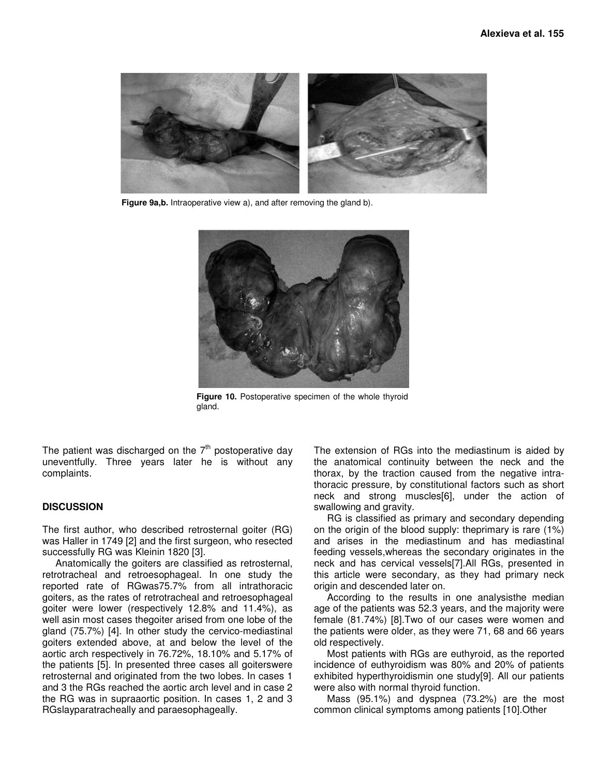

**Figure 9a,b.** Intraoperative view a), and after removing the gland b).



**Figure 10.** Postoperative specimen of the whole thyroid gland.

The patient was discharged on the  $7<sup>th</sup>$  postoperative day uneventfully. Three years later he is without any complaints.

### **DISCUSSION**

The first author, who described retrosternal goiter (RG) was Haller in 1749 [2] and the first surgeon, who resected successfully RG was Kleinin 1820 [3].

Anatomically the goiters are classified as retrosternal, retrotracheal and retroesophageal. In one study the reported rate of RGwas75.7% from all intrathoracic goiters, as the rates of retrotracheal and retroesophageal goiter were lower (respectively 12.8% and 11.4%), as well asin most cases thegoiter arised from one lobe of the gland (75.7%) [4]. In other study the cervico-mediastinal goiters extended above, at and below the level of the aortic arch respectively in 76.72%, 18.10% and 5.17% of the patients [5]. In presented three cases all goiterswere retrosternal and originated from the two lobes. In cases 1 and 3 the RGs reached the aortic arch level and in case 2 the RG was in supraaortic position. In cases 1, 2 and 3 RGslayparatracheally and paraesophageally.

The extension of RGs into the mediastinum is aided by the anatomical continuity between the neck and the thorax, by the traction caused from the negative intrathoracic pressure, by constitutional factors such as short neck and strong muscles[6], under the action of swallowing and gravity.

RG is classified as primary and secondary depending on the origin of the blood supply: theprimary is rare (1%) and arises in the mediastinum and has mediastinal feeding vessels,whereas the secondary originates in the neck and has cervical vessels[7].All RGs, presented in this article were secondary, as they had primary neck origin and descended later on.

According to the results in one analysisthe median age of the patients was 52.3 years, and the majority were female (81.74%) [8].Two of our cases were women and the patients were older, as they were 71, 68 and 66 years old respectively.

Most patients with RGs are euthyroid, as the reported incidence of euthyroidism was 80% and 20% of patients exhibited hyperthyroidismin one study[9]. All our patients were also with normal thyroid function.

Mass (95.1%) and dyspnea (73.2%) are the most common clinical symptoms among patients [10].Other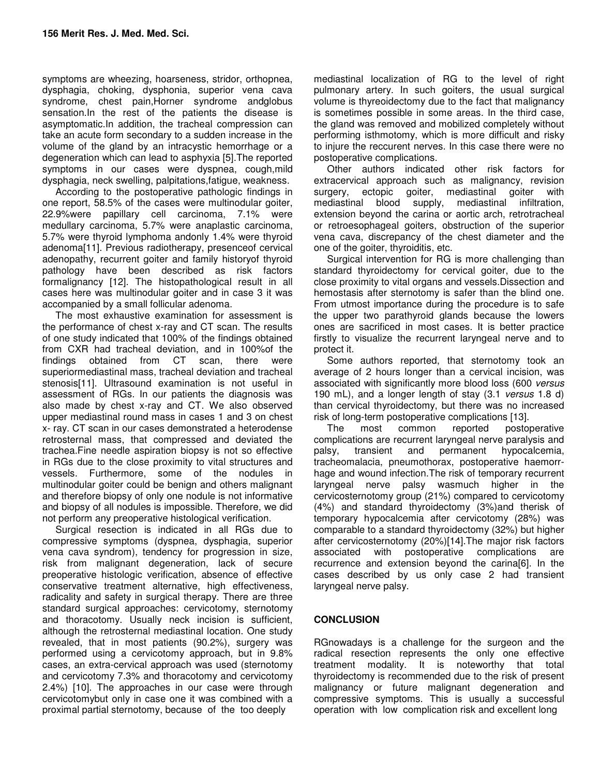symptoms are wheezing, hoarseness, stridor, orthopnea, dysphagia, choking, dysphonia, superior vena cava syndrome, chest pain,Horner syndrome andglobus sensation.In the rest of the patients the disease is asymptomatic.In addition, the tracheal compression can take an acute form secondary to a sudden increase in the volume of the gland by an intracystic hemorrhage or a degeneration which can lead to asphyxia [5].The reported symptoms in our cases were dyspnea, cough,mild dysphagia, neck swelling, palpitations,fatigue, weakness.

According to the postoperative pathologic findings in one report, 58.5% of the cases were multinodular goiter, 22.9%were papillary cell carcinoma, 7.1% were medullary carcinoma, 5.7% were anaplastic carcinoma, 5.7% were thyroid lymphoma andonly 1.4% were thyroid adenoma[11]. Previous radiotherapy, presenceof cervical adenopathy, recurrent goiter and family historyof thyroid pathology have been described as risk factors formalignancy [12]. The histopathological result in all cases here was multinodular goiter and in case 3 it was accompanied by a small follicular adenoma.

The most exhaustive examination for assessment is the performance of chest x-ray and CT scan. The results of one study indicated that 100% of the findings obtained from CXR had tracheal deviation, and in 100%of the findings obtained from CT scan, there were superiormediastinal mass, tracheal deviation and tracheal stenosis[11]. Ultrasound examination is not useful in assessment of RGs. In our patients the diagnosis was also made by chest x-ray and CT. We also observed upper mediastinal round mass in cases 1 and 3 on chest x- ray. CT scan in our cases demonstrated a heterodense retrosternal mass, that compressed and deviated the trachea.Fine needle aspiration biopsy is not so effective in RGs due to the close proximity to vital structures and vessels. Furthermore, some of the nodules in multinodular goiter could be benign and others malignant and therefore biopsy of only one nodule is not informative and biopsy of all nodules is impossible. Therefore, we did not perform any preoperative histological verification.

Surgical resection is indicated in all RGs due to compressive symptoms (dyspnea, dysphagia, superior vena cava syndrom), tendency for progression in size, risk from malignant degeneration, lack of secure preoperative histologic verification, absence of effective conservative treatment alternative, high effectiveness, radicality and safety in surgical therapy. There are three standard surgical approaches: cervicotomy, sternotomy and thoracotomy. Usually neck incision is sufficient, although the retrosternal mediastinal location. One study revealed, that in most patients (90.2%), surgery was performed using a cervicotomy approach, but in 9.8% cases, an extra-cervical approach was used (sternotomy and cervicotomy 7.3% and thoracotomy and cervicotomy 2.4%) [10]. The approaches in our case were through cervicotomybut only in case one it was combined with a proximal partial sternotomy, because of the too deeply

mediastinal localization of RG to the level of right pulmonary artery. In such goiters, the usual surgical volume is thyreoidectomy due to the fact that malignancy is sometimes possible in some areas. In the third case, the gland was removed and mobilized completely without performing isthmotomy, which is more difficult and risky to injure the reccurent nerves. In this case there were no postoperative complications.

Other authors indicated other risk factors for extracervical approach such as malignancy, revision surgery, ectopic goiter, mediastinal goiter with mediastinal blood supply, mediastinal infiltration, extension beyond the carina or aortic arch, retrotracheal or retroesophageal goiters, obstruction of the superior vena cava, discrepancy of the chest diameter and the one of the goiter, thyroiditis, etc.

Surgical intervention for RG is more challenging than standard thyroidectomy for cervical goiter, due to the close proximity to vital organs and vessels.Dissection and hemostasis after sternotomy is safer than the blind one. From utmost importance during the procedure is to safe the upper two parathyroid glands because the lowers ones are sacrificed in most cases. It is better practice firstly to visualize the recurrent laryngeal nerve and to protect it.

Some authors reported, that sternotomy took an average of 2 hours longer than a cervical incision, was associated with significantly more blood loss (600 versus 190 mL), and a longer length of stay (3.1 versus 1.8 d) than cervical thyroidectomy, but there was no increased risk of long-term postoperative complications [13].

The most common reported postoperative complications are recurrent laryngeal nerve paralysis and palsy, transient and permanent hypocalcemia, tracheomalacia, pneumothorax, postoperative haemorrhage and wound infection.The risk of temporary recurrent laryngeal nerve palsy wasmuch higher in the cervicosternotomy group (21%) compared to cervicotomy (4%) and standard thyroidectomy (3%)and therisk of temporary hypocalcemia after cervicotomy (28%) was comparable to a standard thyroidectomy (32%) but higher after cervicosternotomy (20%)[14].The major risk factors associated with postoperative complications are recurrence and extension beyond the carina[6]. In the cases described by us only case 2 had transient laryngeal nerve palsy.

# **CONCLUSION**

RGnowadays is a challenge for the surgeon and the radical resection represents the only one effective treatment modality. It is noteworthy that total thyroidectomy is recommended due to the risk of present malignancy or future malignant degeneration and compressive symptoms. This is usually a successful operation with low complication risk and excellent long